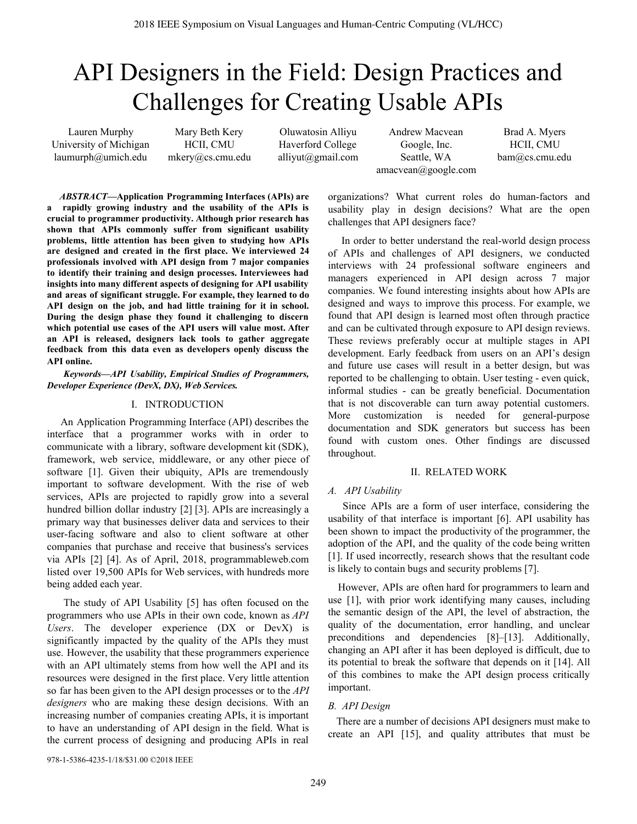# API Designers in the Field: Design Practices and Challenges for Creating Usable APIs

Lauren Murphy University of Michigan laumurph@umich.edu

Mary Beth Kery HCII, CMU mkery@cs.cmu.edu

Oluwatosin Alliyu Haverford College alliyut@gmail.com

Andrew Macvean Google, Inc. Seattle, WA amacvean@google.com

Brad A. Myers HCII, CMU bam@cs.cmu.edu

*ABSTRACT—***Application Programming Interfaces (APIs) are a rapidly growing industry and the usability of the APIs is crucial to programmer productivity. Although prior research has shown that APIs commonly suffer from significant usability problems, little attention has been given to studying how APIs are designed and created in the first place. We interviewed 24 professionals involved with API design from 7 major companies to identify their training and design processes. Interviewees had insights into many different aspects of designing for API usability and areas of significant struggle. For example, they learned to do API design on the job, and had little training for it in school. During the design phase they found it challenging to discern which potential use cases of the API users will value most. After an API is released, designers lack tools to gather aggregate feedback from this data even as developers openly discuss the API online.**

*Keywords—API Usability, Empirical Studies of Programmers, Developer Experience (DevX, DX), Web Services.*

#### I. INTRODUCTION

An Application Programming Interface (API) describes the interface that a programmer works with in order to communicate with a library, software development kit (SDK), framework, web service, middleware, or any other piece of software [1]. Given their ubiquity, APIs are tremendously important to software development. With the rise of web services, APIs are projected to rapidly grow into a several hundred billion dollar industry [2] [3]. APIs are increasingly a primary way that businesses deliver data and services to their user-facing software and also to client software at other companies that purchase and receive that business's services via APIs [2] [4]. As of April, 2018, programmableweb.com listed over 19,500 APIs for Web services, with hundreds more being added each year.

The study of API Usability [5] has often focused on the programmers who use APIs in their own code, known as *API Users*. The developer experience (DX or DevX) is significantly impacted by the quality of the APIs they must use. However, the usability that these programmers experience with an API ultimately stems from how well the API and its resources were designed in the first place. Very little attention so far has been given to the API design processes or to the *API designers* who are making these design decisions. With an increasing number of companies creating APIs, it is important to have an understanding of API design in the field. What is the current process of designing and producing APIs in real organizations? What current roles do human-factors and usability play in design decisions? What are the open challenges that API designers face?

In order to better understand the real-world design process of APIs and challenges of API designers, we conducted interviews with 24 professional software engineers and managers experienced in API design across 7 major companies. We found interesting insights about how APIs are designed and ways to improve this process. For example, we found that API design is learned most often through practice and can be cultivated through exposure to API design reviews. These reviews preferably occur at multiple stages in API development. Early feedback from users on an API's design and future use cases will result in a better design, but was reported to be challenging to obtain. User testing - even quick, informal studies - can be greatly beneficial. Documentation that is not discoverable can turn away potential customers. More customization is needed for general-purpose documentation and SDK generators but success has been found with custom ones. Other findings are discussed throughout.

#### II. RELATED WORK

### *A. API Usability*

Since APIs are a form of user interface, considering the usability of that interface is important [6]. API usability has been shown to impact the productivity of the programmer, the adoption of the API, and the quality of the code being written [1]. If used incorrectly, research shows that the resultant code is likely to contain bugs and security problems [7].

However, APIs are often hard for programmers to learn and use [1], with prior work identifying many causes, including the semantic design of the API, the level of abstraction, the quality of the documentation, error handling, and unclear preconditions and dependencies [8]–[13]. Additionally, changing an API after it has been deployed is difficult, due to its potential to break the software that depends on it [14]. All of this combines to make the API design process critically important.

#### *B. API Design*

There are a number of decisions API designers must make to create an API [15], and quality attributes that must be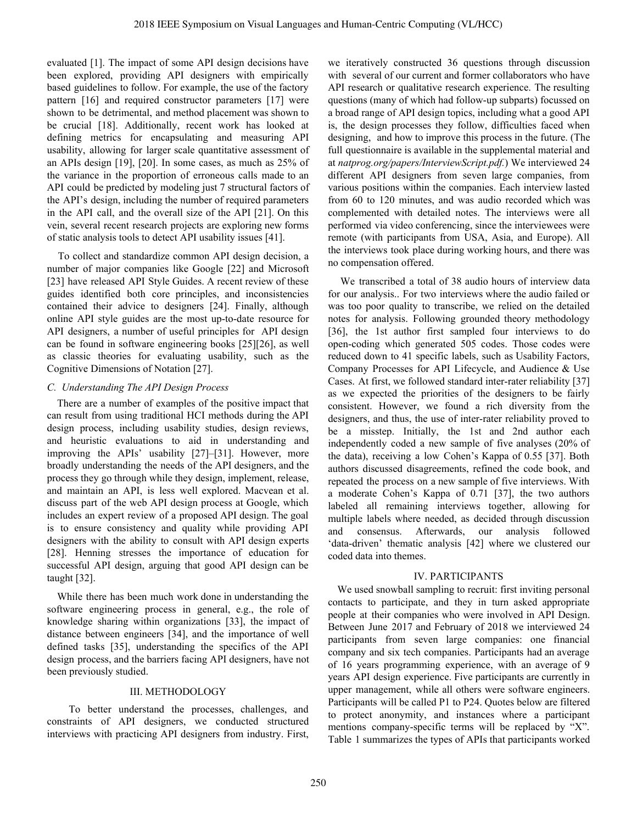evaluated [1]. The impact of some API design decisions have been explored, providing API designers with empirically based guidelines to follow. For example, the use of the factory pattern [16] and required constructor parameters [17] were shown to be detrimental, and method placement was shown to be crucial [18]. Additionally, recent work has looked at defining metrics for encapsulating and measuring API usability, allowing for larger scale quantitative assessment of an APIs design [19], [20]. In some cases, as much as 25% of the variance in the proportion of erroneous calls made to an API could be predicted by modeling just 7 structural factors of the API's design, including the number of required parameters in the API call, and the overall size of the API [21]. On this vein, several recent research projects are exploring new forms of static analysis tools to detect API usability issues [41].

To collect and standardize common API design decision, a number of major companies like Google [22] and Microsoft [23] have released API Style Guides. A recent review of these guides identified both core principles, and inconsistencies contained their advice to designers [24]. Finally, although online API style guides are the most up-to-date resource for API designers, a number of useful principles for API design can be found in software engineering books [25][26], as well as classic theories for evaluating usability, such as the Cognitive Dimensions of Notation [27].

# *C. Understanding The API Design Process*

There are a number of examples of the positive impact that can result from using traditional HCI methods during the API design process, including usability studies, design reviews, and heuristic evaluations to aid in understanding and improving the APIs' usability [27]–[31]. However, more broadly understanding the needs of the API designers, and the process they go through while they design, implement, release, and maintain an API, is less well explored. Macvean et al. discuss part of the web API design process at Google, which includes an expert review of a proposed API design. The goal is to ensure consistency and quality while providing API designers with the ability to consult with API design experts [28]. Henning stresses the importance of education for successful API design, arguing that good API design can be taught [32].

While there has been much work done in understanding the software engineering process in general, e.g., the role of knowledge sharing within organizations [33], the impact of distance between engineers [34], and the importance of well defined tasks [35], understanding the specifics of the API design process, and the barriers facing API designers, have not been previously studied.

# III. METHODOLOGY

To better understand the processes, challenges, and constraints of API designers, we conducted structured interviews with practicing API designers from industry. First, we iteratively constructed 36 questions through discussion with several of our current and former collaborators who have API research or qualitative research experience. The resulting questions (many of which had follow-up subparts) focussed on a broad range of API design topics, including what a good API is, the design processes they follow, difficulties faced when designing, and how to improve this process in the future. (The full questionnaire is available in the supplemental material and at *natprog.org/papers/InterviewScript.pdf.*) We interviewed 24 different API designers from seven large companies, from various positions within the companies. Each interview lasted from 60 to 120 minutes, and was audio recorded which was complemented with detailed notes. The interviews were all performed via video conferencing, since the interviewees were remote (with participants from USA, Asia, and Europe). All the interviews took place during working hours, and there was no compensation offered.

We transcribed a total of 38 audio hours of interview data for our analysis.. For two interviews where the audio failed or was too poor quality to transcribe, we relied on the detailed notes for analysis. Following grounded theory methodology [36], the 1st author first sampled four interviews to do open-coding which generated 505 codes. Those codes were reduced down to 41 specific labels, such as Usability Factors, Company Processes for API Lifecycle, and Audience & Use Cases. At first, we followed standard inter-rater reliability [37] as we expected the priorities of the designers to be fairly consistent. However, we found a rich diversity from the designers, and thus, the use of inter-rater reliability proved to be a misstep. Initially, the 1st and 2nd author each independently coded a new sample of five analyses (20% of the data), receiving a low Cohen's Kappa of 0.55 [37]. Both authors discussed disagreements, refined the code book, and repeated the process on a new sample of five interviews. With a moderate Cohen's Kappa of 0.71 [37], the two authors labeled all remaining interviews together, allowing for multiple labels where needed, as decided through discussion and consensus. Afterwards, our analysis followed 'data-driven' thematic analysis [42] where we clustered our coded data into themes.

# IV. PARTICIPANTS

We used snowball sampling to recruit: first inviting personal contacts to participate, and they in turn asked appropriate people at their companies who were involved in API Design. Between June 2017 and February of 2018 we interviewed 24 participants from seven large companies: one financial company and six tech companies. Participants had an average of 16 years programming experience, with an average of 9 years API design experience. Five participants are currently in upper management, while all others were software engineers. Participants will be called P1 to P24. Quotes below are filtered to protect anonymity, and instances where a participant mentions company-specific terms will be replaced by "X". Table 1 summarizes the types of APIs that participants worked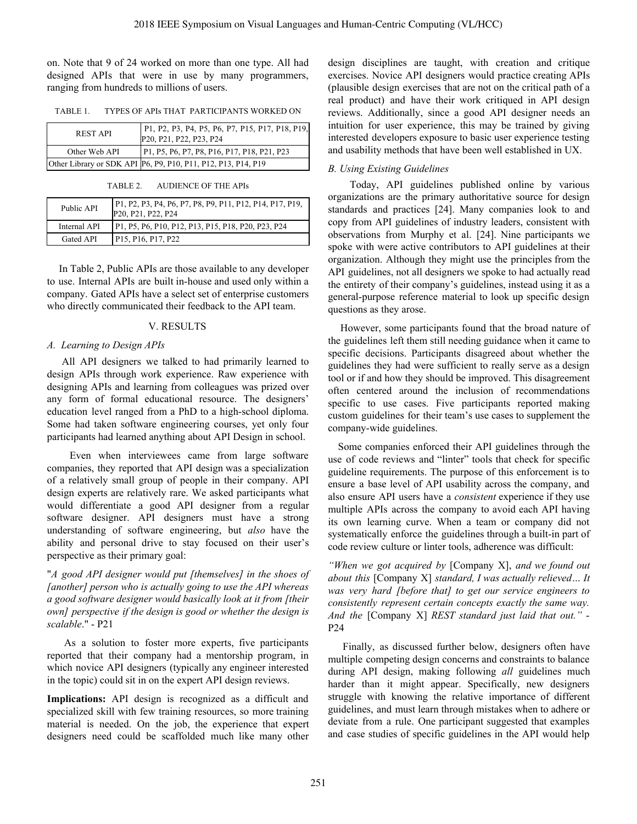on. Note that 9 of 24 worked on more than one type. All had designed APIs that were in use by many programmers, ranging from hundreds to millions of users.

| TABLE 1. |  | TYPES OF APIs THAT PARTICIPANTS WORKED ON |  |
|----------|--|-------------------------------------------|--|
|          |  |                                           |  |

| <b>REST API</b> | P1, P2, P3, P4, P5, P6, P7, P15, P17, P18, P19,<br>P <sub>20</sub> , P <sub>21</sub> , P <sub>22</sub> , P <sub>23</sub> , P <sub>24</sub> |
|-----------------|--------------------------------------------------------------------------------------------------------------------------------------------|
| Other Web API   | P1, P5, P6, P7, P8, P16, P17, P18, P21, P23                                                                                                |
|                 | Other Library or SDK API P6, P9, P10, P11, P12, P13, P14, P19                                                                              |

| TABLE 2. | <b>AUDIENCE OF THE APIS</b> |  |
|----------|-----------------------------|--|
|          |                             |  |

| Public API   | P1, P2, P3, P4, P6, P7, P8, P9, P11, P12, P14, P17, P19,<br>P <sub>20</sub> , P <sub>21</sub> , P <sub>22</sub> , P <sub>24</sub> |
|--------------|-----------------------------------------------------------------------------------------------------------------------------------|
| Internal API | P1, P5, P6, P10, P12, P13, P15, P18, P20, P23, P24                                                                                |
| Gated API    | P <sub>15</sub> , P <sub>16</sub> , P <sub>17</sub> , P <sub>22</sub>                                                             |

In Table 2, Public APIs are those available to any developer to use. Internal APIs are built in-house and used only within a company. Gated APIs have a select set of enterprise customers who directly communicated their feedback to the API team.

# V. RESULTS

# *A. Learning to Design APIs*

All API designers we talked to had primarily learned to design APIs through work experience. Raw experience with designing APIs and learning from colleagues was prized over any form of formal educational resource. The designers' education level ranged from a PhD to a high-school diploma. Some had taken software engineering courses, yet only four participants had learned anything about API Design in school.

Even when interviewees came from large software companies, they reported that API design was a specialization of a relatively small group of people in their company. API design experts are relatively rare. We asked participants what would differentiate a good API designer from a regular software designer. API designers must have a strong understanding of software engineering, but *also* have the ability and personal drive to stay focused on their user's perspective as their primary goal:

"*A good API designer would put [themselves] in the shoes of [another] person who is actually going to use the API whereas a good software designer would basically look at it from [their own] perspective if the design is good or whether the design is scalable*." - P21

As a solution to foster more experts, five participants reported that their company had a mentorship program, in which novice API designers (typically any engineer interested in the topic) could sit in on the expert API design reviews.

**Implications:** API design is recognized as a difficult and specialized skill with few training resources, so more training material is needed. On the job, the experience that expert designers need could be scaffolded much like many other

design disciplines are taught, with creation and critique exercises. Novice API designers would practice creating APIs (plausible design exercises that are not on the critical path of a real product) and have their work critiqued in API design reviews. Additionally, since a good API designer needs an intuition for user experience, this may be trained by giving interested developers exposure to basic user experience testing and usability methods that have been well established in UX.

# *B. Using Existing Guidelines*

Today, API guidelines published online by various organizations are the primary authoritative source for design standards and practices [24]. Many companies look to and copy from API guidelines of industry leaders, consistent with observations from Murphy et al. [24]. Nine participants we spoke with were active contributors to API guidelines at their organization. Although they might use the principles from the API guidelines, not all designers we spoke to had actually read the entirety of their company's guidelines, instead using it as a general-purpose reference material to look up specific design questions as they arose.

However, some participants found that the broad nature of the guidelines left them still needing guidance when it came to specific decisions. Participants disagreed about whether the guidelines they had were sufficient to really serve as a design tool or if and how they should be improved. This disagreement often centered around the inclusion of recommendations specific to use cases. Five participants reported making custom guidelines for their team's use cases to supplement the company-wide guidelines.

Some companies enforced their API guidelines through the use of code reviews and "linter" tools that check for specific guideline requirements. The purpose of this enforcement is to ensure a base level of API usability across the company, and also ensure API users have a *consistent* experience if they use multiple APIs across the company to avoid each API having its own learning curve. When a team or company did not systematically enforce the guidelines through a built-in part of code review culture or linter tools, adherence was difficult:

*"When we got acquired by* [Company X], *and we found out about this* [Company X] *standard, I was actually relieved… It was very hard [before that] to get our service engineers to consistently represent certain concepts exactly the same way. And the* [Company X] *REST standard just laid that out."* - P24

Finally, as discussed further below, designers often have multiple competing design concerns and constraints to balance during API design, making following *all* guidelines much harder than it might appear. Specifically, new designers struggle with knowing the relative importance of different guidelines, and must learn through mistakes when to adhere or deviate from a rule. One participant suggested that examples and case studies of specific guidelines in the API would help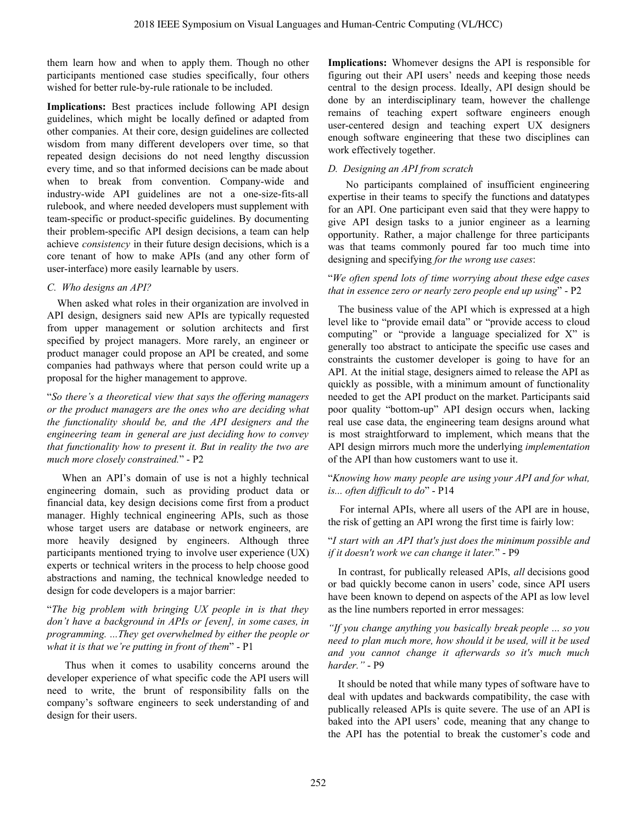them learn how and when to apply them. Though no other participants mentioned case studies specifically, four others wished for better rule-by-rule rationale to be included.

**Implications:** Best practices include following API design guidelines, which might be locally defined or adapted from other companies. At their core, design guidelines are collected wisdom from many different developers over time, so that repeated design decisions do not need lengthy discussion every time, and so that informed decisions can be made about when to break from convention. Company-wide and industry-wide API guidelines are not a one-size-fits-all rulebook, and where needed developers must supplement with team-specific or product-specific guidelines. By documenting their problem-specific API design decisions, a team can help achieve *consistency* in their future design decisions, which is a core tenant of how to make APIs (and any other form of user-interface) more easily learnable by users.

#### *C. Who designs an API?*

When asked what roles in their organization are involved in API design, designers said new APIs are typically requested from upper management or solution architects and first specified by project managers. More rarely, an engineer or product manager could propose an API be created, and some companies had pathways where that person could write up a proposal for the higher management to approve.

"*So there's a theoretical view that says the of ering managers or the product managers are the ones who are deciding what the functionality should be, and the API designers and the engineering team in general are just deciding how to convey that functionality how to present it. But in reality the two are much more closely constrained.*" - P2

When an API's domain of use is not a highly technical engineering domain, such as providing product data or financial data, key design decisions come first from a product manager. Highly technical engineering APIs, such as those whose target users are database or network engineers, are more heavily designed by engineers. Although three participants mentioned trying to involve user experience (UX) experts or technical writers in the process to help choose good abstractions and naming, the technical knowledge needed to design for code developers is a major barrier:

"*The big problem with bringing UX people in is that they don't have a background in APIs or [even], in some cases, in programming. ...They get overwhelmed by either the people or what it is that we're putting in front of them*" - P1

Thus when it comes to usability concerns around the developer experience of what specific code the API users will need to write, the brunt of responsibility falls on the company's software engineers to seek understanding of and design for their users.

**Implications:** Whomever designs the API is responsible for figuring out their API users' needs and keeping those needs central to the design process. Ideally, API design should be done by an interdisciplinary team, however the challenge remains of teaching expert software engineers enough user-centered design and teaching expert UX designers enough software engineering that these two disciplines can work effectively together.

# *D. Designing an API from scratch*

No participants complained of insufficient engineering expertise in their teams to specify the functions and datatypes for an API. One participant even said that they were happy to give API design tasks to a junior engineer as a learning opportunity. Rather, a major challenge for three participants was that teams commonly poured far too much time into designing and specifying *for the wrong use cases*:

"*We often spend lots of time worrying about these edge cases that in essence zero or nearly zero people end up using*" - P2

The business value of the API which is expressed at a high level like to "provide email data" or "provide access to cloud computing" or "provide a language specialized for X" is generally too abstract to anticipate the specific use cases and constraints the customer developer is going to have for an API. At the initial stage, designers aimed to release the API as quickly as possible, with a minimum amount of functionality needed to get the API product on the market. Participants said poor quality "bottom-up" API design occurs when, lacking real use case data, the engineering team designs around what is most straightforward to implement, which means that the API design mirrors much more the underlying *implementation* of the API than how customers want to use it.

"*Knowing how many people are using your API and for what, is... often dif icult to do*" - P14

For internal APIs, where all users of the API are in house, the risk of getting an API wrong the first time is fairly low:

# "*I start with an API that's just does the minimum possible and if it doesn't work we can change it later.*" - P9

In contrast, for publically released APIs, *all* decisions good or bad quickly become canon in users' code, since API users have been known to depend on aspects of the API as low level as the line numbers reported in error messages:

*"If you change anything you basically break people … so you need to plan much more, how should it be used, will it be used and you cannot change it afterwards so it's much much harder."* - P9

It should be noted that while many types of software have to deal with updates and backwards compatibility, the case with publically released APIs is quite severe. The use of an API is baked into the API users' code, meaning that any change to the API has the potential to break the customer's code and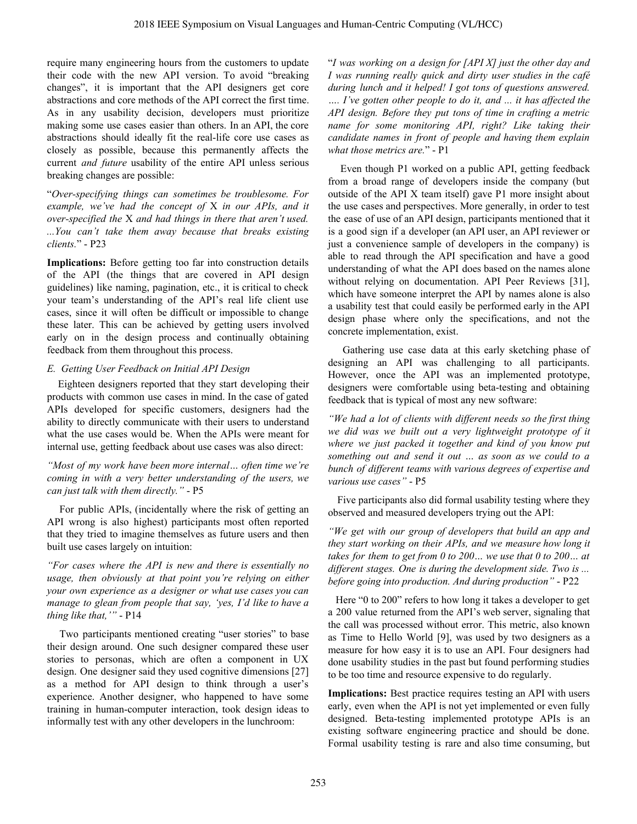require many engineering hours from the customers to update their code with the new API version. To avoid "breaking changes", it is important that the API designers get core abstractions and core methods of the API correct the first time. As in any usability decision, developers must prioritize making some use cases easier than others. In an API, the core abstractions should ideally fit the real-life core use cases as closely as possible, because this permanently affects the current *and future* usability of the entire API unless serious breaking changes are possible:

"*Over-specifying things can sometimes be troublesome. For example, we've had the concept of* X *in our APIs, and it over-specified the* X *and had things in there that aren't used. ...You can't take them away because that breaks existing clients.*" - P23

**Implications:** Before getting too far into construction details of the API (the things that are covered in API design guidelines) like naming, pagination, etc., it is critical to check your team's understanding of the API's real life client use cases, since it will often be difficult or impossible to change these later. This can be achieved by getting users involved early on in the design process and continually obtaining feedback from them throughout this process.

# *E. Getting User Feedback on Initial API Design*

Eighteen designers reported that they start developing their products with common use cases in mind. In the case of gated APIs developed for specific customers, designers had the ability to directly communicate with their users to understand what the use cases would be. When the APIs were meant for internal use, getting feedback about use cases was also direct:

*"Most of my work have been more internal… often time we're coming in with a very better understanding of the users, we can just talk with them directly."* - P5

For public APIs, (incidentally where the risk of getting an API wrong is also highest) participants most often reported that they tried to imagine themselves as future users and then built use cases largely on intuition:

*"For cases where the API is new and there is essentially no usage, then obviously at that point you're relying on either your own experience as a designer or what use cases you can manage to glean from people that say, 'yes, I'd like to have a thing like that,'"* - P14

Two participants mentioned creating "user stories" to base their design around. One such designer compared these user stories to personas, which are often a component in UX design. One designer said they used cognitive dimensions [27] as a method for API design to think through a user's experience. Another designer, who happened to have some training in human-computer interaction, took design ideas to informally test with any other developers in the lunchroom:

"*I was working on a design for [API X] just the other day and I was running really quick and dirty user studies in the café during lunch and it helped! I got tons of questions answered.*

*…. I've gotten other people to do it, and ... it has af ected the API design. Before they put tons of time in crafting a metric name for some monitoring API, right? Like taking their candidate names in front of people and having them explain what those metrics are.*" - P1

Even though P1 worked on a public API, getting feedback from a broad range of developers inside the company (but outside of the API X team itself) gave P1 more insight about the use cases and perspectives. More generally, in order to test the ease of use of an API design, participants mentioned that it is a good sign if a developer (an API user, an API reviewer or just a convenience sample of developers in the company) is able to read through the API specification and have a good understanding of what the API does based on the names alone without relying on documentation. API Peer Reviews [31], which have someone interpret the API by names alone is also a usability test that could easily be performed early in the API design phase where only the specifications, and not the concrete implementation, exist.

Gathering use case data at this early sketching phase of designing an API was challenging to all participants. However, once the API was an implemented prototype, designers were comfortable using beta-testing and obtaining feedback that is typical of most any new software:

*"We had a lot of clients with dif erent needs so the first thing we did was we built out a very lightweight prototype of it where we just packed it together and kind of you know put something out and send it out … as soon as we could to a bunch of dif erent teams with various degrees of expertise and various use cases"* - P5

Five participants also did formal usability testing where they observed and measured developers trying out the API:

*"We get with our group of developers that build an app and they start working on their APIs, and we measure how long it takes for them to get from 0 to 200… we use that 0 to 200… at dif erent stages. One is during the development side. Two is ... before going into production. And during production"* - P22

Here "0 to 200" refers to how long it takes a developer to get a 200 value returned from the API's web server, signaling that the call was processed without error. This metric, also known as Time to Hello World [9], was used by two designers as a measure for how easy it is to use an API. Four designers had done usability studies in the past but found performing studies to be too time and resource expensive to do regularly.

**Implications:** Best practice requires testing an API with users early, even when the API is not yet implemented or even fully designed. Beta-testing implemented prototype APIs is an existing software engineering practice and should be done. Formal usability testing is rare and also time consuming, but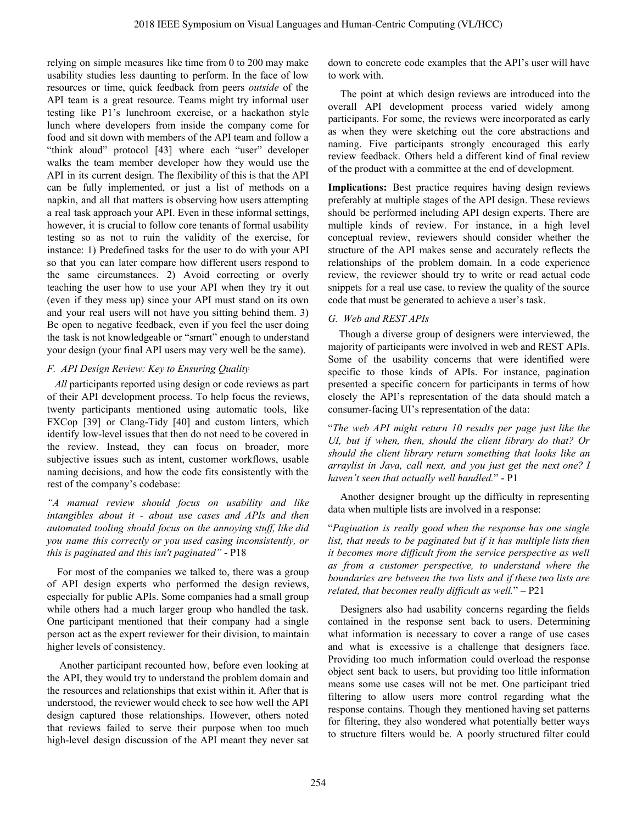relying on simple measures like time from 0 to 200 may make usability studies less daunting to perform. In the face of low resources or time, quick feedback from peers *outside* of the API team is a great resource. Teams might try informal user testing like P1's lunchroom exercise, or a hackathon style lunch where developers from inside the company come for food and sit down with members of the API team and follow a "think aloud" protocol [43] where each "user" developer walks the team member developer how they would use the API in its current design. The flexibility of this is that the API can be fully implemented, or just a list of methods on a napkin, and all that matters is observing how users attempting a real task approach your API. Even in these informal settings, however, it is crucial to follow core tenants of formal usability testing so as not to ruin the validity of the exercise, for instance: 1) Predefined tasks for the user to do with your API so that you can later compare how different users respond to the same circumstances. 2) Avoid correcting or overly teaching the user how to use your API when they try it out (even if they mess up) since your API must stand on its own and your real users will not have you sitting behind them. 3) Be open to negative feedback, even if you feel the user doing the task is not knowledgeable or "smart" enough to understand your design (your final API users may very well be the same).

# *F. API Design Review: Key to Ensuring Quality*

*All* participants reported using design or code reviews as part of their API development process. To help focus the reviews, twenty participants mentioned using automatic tools, like FXCop [39] or Clang-Tidy [40] and custom linters, which identify low-level issues that then do not need to be covered in the review. Instead, they can focus on broader, more subjective issues such as intent, customer workflows, usable naming decisions, and how the code fits consistently with the rest of the company's codebase:

*"A manual review should focus on usability and like intangibles about it - about use cases and APIs and then automated tooling should focus on the annoying stuf , like did you name this correctly or you used casing inconsistently, or this is paginated and this isn't paginated"* - P18

For most of the companies we talked to, there was a group of API design experts who performed the design reviews, especially for public APIs. Some companies had a small group while others had a much larger group who handled the task. One participant mentioned that their company had a single person act as the expert reviewer for their division, to maintain higher levels of consistency.

Another participant recounted how, before even looking at the API, they would try to understand the problem domain and the resources and relationships that exist within it. After that is understood, the reviewer would check to see how well the API design captured those relationships. However, others noted that reviews failed to serve their purpose when too much high-level design discussion of the API meant they never sat

down to concrete code examples that the API's user will have to work with.

The point at which design reviews are introduced into the overall API development process varied widely among participants. For some, the reviews were incorporated as early as when they were sketching out the core abstractions and naming. Five participants strongly encouraged this early review feedback. Others held a different kind of final review of the product with a committee at the end of development.

**Implications:** Best practice requires having design reviews preferably at multiple stages of the API design. These reviews should be performed including API design experts. There are multiple kinds of review. For instance, in a high level conceptual review, reviewers should consider whether the structure of the API makes sense and accurately reflects the relationships of the problem domain. In a code experience review, the reviewer should try to write or read actual code snippets for a real use case, to review the quality of the source code that must be generated to achieve a user's task.

# *G. Web and REST APIs*

Though a diverse group of designers were interviewed, the majority of participants were involved in web and REST APIs. Some of the usability concerns that were identified were specific to those kinds of APIs. For instance, pagination presented a specific concern for participants in terms of how closely the API's representation of the data should match a consumer-facing UI's representation of the data:

"*The web API might return 10 results per page just like the UI, but if when, then, should the client library do that? Or should the client library return something that looks like an arraylist in Java, call next, and you just get the next one? I haven't seen that actually well handled.*" - P1

Another designer brought up the difficulty in representing data when multiple lists are involved in a response:

"*Pagination is really good when the response has one single list, that needs to be paginated but if it has multiple lists then it becomes more dif icult from the service perspective as well as from a customer perspective, to understand where the boundaries are between the two lists and if these two lists are related, that becomes really difficult as well.*" – P21

Designers also had usability concerns regarding the fields contained in the response sent back to users. Determining what information is necessary to cover a range of use cases and what is excessive is a challenge that designers face. Providing too much information could overload the response object sent back to users, but providing too little information means some use cases will not be met. One participant tried filtering to allow users more control regarding what the response contains. Though they mentioned having set patterns for filtering, they also wondered what potentially better ways to structure filters would be. A poorly structured filter could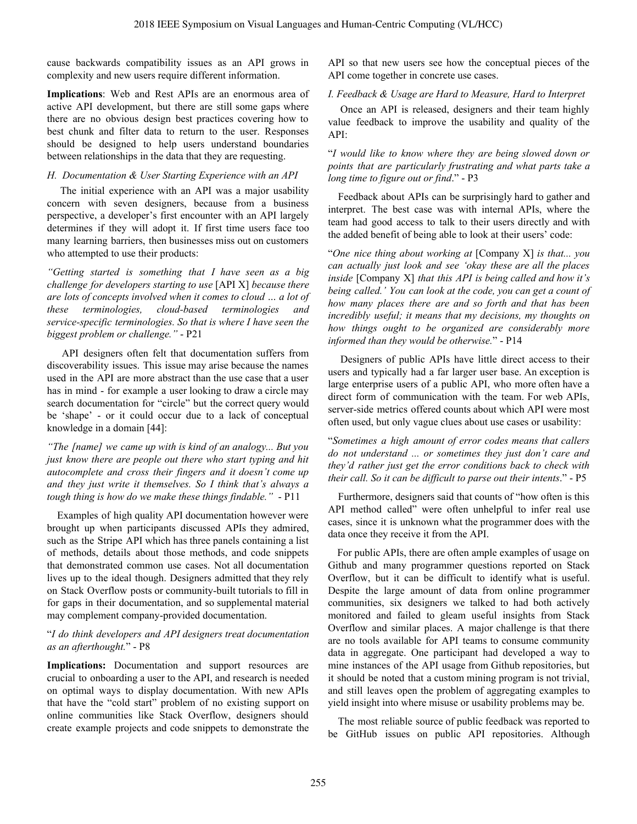cause backwards compatibility issues as an API grows in complexity and new users require different information.

**Implications**: Web and Rest APIs are an enormous area of active API development, but there are still some gaps where there are no obvious design best practices covering how to best chunk and filter data to return to the user. Responses should be designed to help users understand boundaries between relationships in the data that they are requesting.

#### *H. Documentation & User Starting Experience with an API*

The initial experience with an API was a major usability concern with seven designers, because from a business perspective, a developer's first encounter with an API largely determines if they will adopt it. If first time users face too many learning barriers, then businesses miss out on customers who attempted to use their products:

*"Getting started is something that I have seen as a big challenge for developers starting to use* [API X] *because there are lots of concepts involved when it comes to cloud … a lot of these terminologies, cloud-based terminologies and service-specific terminologies. So that is where I have seen the biggest problem or challenge."* - P21

API designers often felt that documentation suffers from discoverability issues. This issue may arise because the names used in the API are more abstract than the use case that a user has in mind - for example a user looking to draw a circle may search documentation for "circle" but the correct query would be 'shape' - or it could occur due to a lack of conceptual knowledge in a domain [44]:

*"The [name] we came up with is kind of an analogy... But you just know there are people out there who start typing and hit autocomplete and cross their fingers and it doesn't come up and they just write it themselves. So I think that's always a tough thing is how do we make these things findable."* - P11

Examples of high quality API documentation however were brought up when participants discussed APIs they admired, such as the Stripe API which has three panels containing a list of methods, details about those methods, and code snippets that demonstrated common use cases. Not all documentation lives up to the ideal though. Designers admitted that they rely on Stack Overflow posts or community-built tutorials to fill in for gaps in their documentation, and so supplemental material may complement company-provided documentation.

#### "*I do think developers and API designers treat documentation as an afterthought.*" - P8

**Implications:** Documentation and support resources are crucial to onboarding a user to the API, and research is needed on optimal ways to display documentation. With new APIs that have the "cold start" problem of no existing support on online communities like Stack Overflow, designers should create example projects and code snippets to demonstrate the API so that new users see how the conceptual pieces of the API come together in concrete use cases.

#### *I. Feedback & Usage are Hard to Measure, Hard to Interpret*

Once an API is released, designers and their team highly value feedback to improve the usability and quality of the API:

"*I would like to know where they are being slowed down or points that are particularly frustrating and what parts take a long time to figure out or find*." - P3

Feedback about APIs can be surprisingly hard to gather and interpret. The best case was with internal APIs, where the team had good access to talk to their users directly and with the added benefit of being able to look at their users' code:

"*One nice thing about working at* [Company X] *is that... you can actually just look and see 'okay these are all the places inside* [Company X] *that this API is being called and how it's being called.' You can look at the code, you can get a count of how many places there are and so forth and that has been incredibly useful; it means that my decisions, my thoughts on how things ought to be organized are considerably more informed than they would be otherwise.*" - P14

Designers of public APIs have little direct access to their users and typically had a far larger user base. An exception is large enterprise users of a public API, who more often have a direct form of communication with the team. For web APIs, server-side metrics offered counts about which API were most often used, but only vague clues about use cases or usability:

"*Sometimes a high amount of error codes means that callers do not understand ... or sometimes they just don't care and they'd rather just get the error conditions back to check with their call. So it can be dif icult to parse out their intents*." - P5

Furthermore, designers said that counts of "how often is this API method called" were often unhelpful to infer real use cases, since it is unknown what the programmer does with the data once they receive it from the API.

For public APIs, there are often ample examples of usage on Github and many programmer questions reported on Stack Overflow, but it can be difficult to identify what is useful. Despite the large amount of data from online programmer communities, six designers we talked to had both actively monitored and failed to gleam useful insights from Stack Overflow and similar places. A major challenge is that there are no tools available for API teams to consume community data in aggregate. One participant had developed a way to mine instances of the API usage from Github repositories, but it should be noted that a custom mining program is not trivial, and still leaves open the problem of aggregating examples to yield insight into where misuse or usability problems may be.

The most reliable source of public feedback was reported to be GitHub issues on public API repositories. Although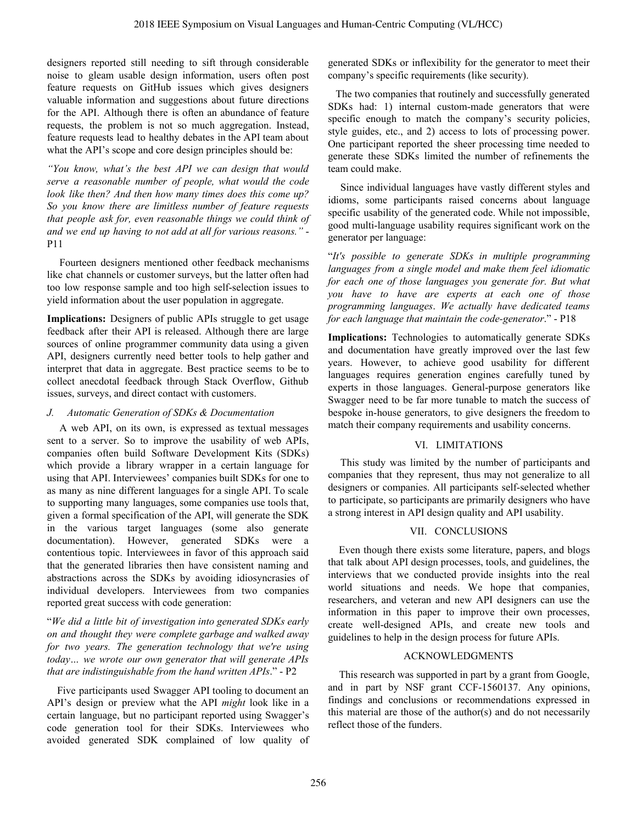designers reported still needing to sift through considerable noise to gleam usable design information, users often post feature requests on GitHub issues which gives designers valuable information and suggestions about future directions for the API. Although there is often an abundance of feature requests, the problem is not so much aggregation. Instead, feature requests lead to healthy debates in the API team about what the API's scope and core design principles should be:

*"You know, what's the best API we can design that would serve a reasonable number of people, what would the code look like then? And then how many times does this come up? So you know there are limitless number of feature requests that people ask for, even reasonable things we could think of and we end up having to not add at all for various reasons."* - P11

Fourteen designers mentioned other feedback mechanisms like chat channels or customer surveys, but the latter often had too low response sample and too high self-selection issues to yield information about the user population in aggregate.

**Implications:** Designers of public APIs struggle to get usage feedback after their API is released. Although there are large sources of online programmer community data using a given API, designers currently need better tools to help gather and interpret that data in aggregate. Best practice seems to be to collect anecdotal feedback through Stack Overflow, Github issues, surveys, and direct contact with customers.

# *J. Automatic Generation of SDKs & Documentation*

A web API, on its own, is expressed as textual messages sent to a server. So to improve the usability of web APIs, companies often build Software Development Kits (SDKs) which provide a library wrapper in a certain language for using that API. Interviewees' companies built SDKs for one to as many as nine different languages for a single API. To scale to supporting many languages, some companies use tools that, given a formal specification of the API, will generate the SDK in the various target languages (some also generate documentation). However, generated SDKs were a contentious topic. Interviewees in favor of this approach said that the generated libraries then have consistent naming and abstractions across the SDKs by avoiding idiosyncrasies of individual developers. Interviewees from two companies reported great success with code generation:

# "*We did a little bit of investigation into generated SDKs early on and thought they were complete garbage and walked away for two years. The generation technology that we're using today… we wrote our own generator that will generate APIs that are indistinguishable from the hand written APIs*." - P2

Five participants used Swagger API tooling to document an API's design or preview what the API *might* look like in a certain language, but no participant reported using Swagger's code generation tool for their SDKs. Interviewees who avoided generated SDK complained of low quality of generated SDKs or inflexibility for the generator to meet their company's specific requirements (like security).

The two companies that routinely and successfully generated SDKs had: 1) internal custom-made generators that were specific enough to match the company's security policies, style guides, etc., and 2) access to lots of processing power. One participant reported the sheer processing time needed to generate these SDKs limited the number of refinements the team could make.

Since individual languages have vastly different styles and idioms, some participants raised concerns about language specific usability of the generated code. While not impossible, good multi-language usability requires significant work on the generator per language:

"*It's possible to generate SDKs in multiple programming languages from a single model and make them feel idiomatic for each one of those languages you generate for. But what you have to have are experts at each one of those programming languages*. *We actually have dedicated teams for each language that maintain the code-generator*." - P18

**Implications:** Technologies to automatically generate SDKs and documentation have greatly improved over the last few years. However, to achieve good usability for different languages requires generation engines carefully tuned by experts in those languages. General-purpose generators like Swagger need to be far more tunable to match the success of bespoke in-house generators, to give designers the freedom to match their company requirements and usability concerns.

# VI. LIMITATIONS

This study was limited by the number of participants and companies that they represent, thus may not generalize to all designers or companies. All participants self-selected whether to participate, so participants are primarily designers who have a strong interest in API design quality and API usability.

# VII. CONCLUSIONS

Even though there exists some literature, papers, and blogs that talk about API design processes, tools, and guidelines, the interviews that we conducted provide insights into the real world situations and needs. We hope that companies, researchers, and veteran and new API designers can use the information in this paper to improve their own processes, create well-designed APIs, and create new tools and guidelines to help in the design process for future APIs.

# ACKNOWLEDGMENTS

This research was supported in part by a grant from Google, and in part by NSF grant CCF-1560137. Any opinions, findings and conclusions or recommendations expressed in this material are those of the author(s) and do not necessarily reflect those of the funders.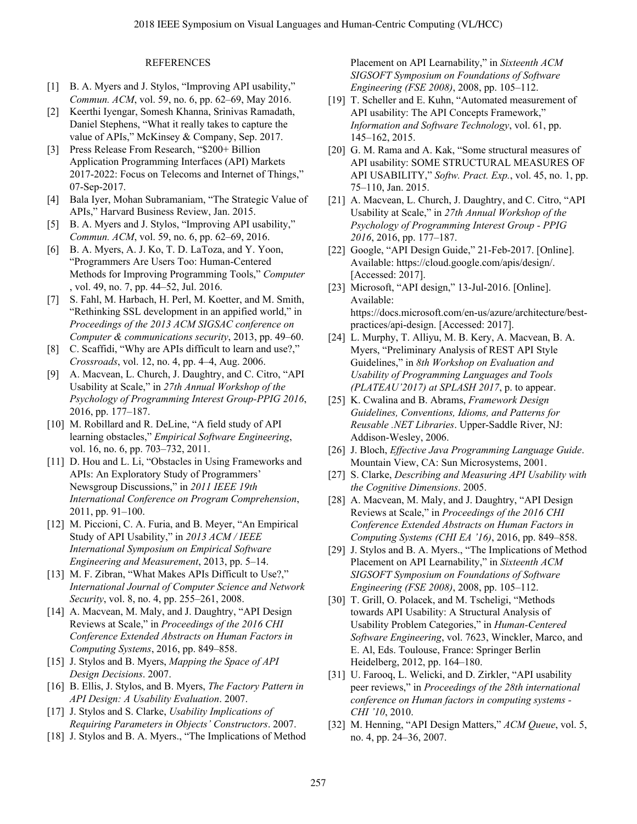# REFERENCES

- [1] B. A. Myers and J. Stylos, "Improving API usability," *Commun. ACM*, vol. 59, no. 6, pp. 62–69, May 2016.
- [2] Keerthi Iyengar, Somesh Khanna, Srinivas Ramadath, Daniel Stephens, "What it really takes to capture the value of APIs," McKinsey & Company, Sep. 2017.
- [3] Press Release From Research, "\$200+ Billion Application Programming Interfaces (API) Markets 2017-2022: Focus on Telecoms and Internet of Things," 07-Sep-2017.
- [4] Bala Iyer, Mohan Subramaniam, "The Strategic Value of APIs," Harvard Business Review, Jan. 2015.
- [5] B. A. Myers and J. Stylos, "Improving API usability," *Commun. ACM*, vol. 59, no. 6, pp. 62–69, 2016.
- [6] B. A. Myers, A. J. Ko, T. D. LaToza, and Y. Yoon, "Programmers Are Users Too: Human-Centered Methods for Improving Programming Tools," *Computer* , vol. 49, no. 7, pp. 44–52, Jul. 2016.
- [7] S. Fahl, M. Harbach, H. Perl, M. Koetter, and M. Smith, "Rethinking SSL development in an appified world," in *Proceedings of the 2013 ACM SIGSAC conference on Computer & communications security*, 2013, pp. 49–60.
- [8] C. Scaffidi, "Why are APIs difficult to learn and use?," *Crossroads*, vol. 12, no. 4, pp. 4–4, Aug. 2006.
- [9] A. Macvean, L. Church, J. Daughtry, and C. Citro, "API Usability at Scale," in *27th Annual Workshop of the Psychology of Programming Interest Group-PPIG 2016*, 2016, pp. 177–187.
- [10] M. Robillard and R. DeLine, "A field study of API learning obstacles," *Empirical Software Engineering*, vol. 16, no. 6, pp. 703–732, 2011.
- [11] D. Hou and L. Li, "Obstacles in Using Frameworks and APIs: An Exploratory Study of Programmers' Newsgroup Discussions," in *2011 IEEE 19th International Conference on Program Comprehension*, 2011, pp. 91–100.
- [12] M. Piccioni, C. A. Furia, and B. Meyer, "An Empirical Study of API Usability," in *2013 ACM / IEEE International Symposium on Empirical Software Engineering and Measurement*, 2013, pp. 5–14.
- [13] M. F. Zibran, "What Makes APIs Difficult to Use?," *International Journal of Computer Science and Network Security*, vol. 8, no. 4, pp. 255–261, 2008.
- [14] A. Macvean, M. Maly, and J. Daughtry, "API Design Reviews at Scale," in *Proceedings of the 2016 CHI Conference Extended Abstracts on Human Factors in Computing Systems*, 2016, pp. 849–858.
- [15] J. Stylos and B. Myers, *Mapping the Space of API Design Decisions*. 2007.
- [16] B. Ellis, J. Stylos, and B. Myers, *The Factory Pattern in API Design: A Usability Evaluation*. 2007.
- [17] J. Stylos and S. Clarke, *Usability Implications of Requiring Parameters in Objects' Constructors*. 2007.
- [18] J. Stylos and B. A. Myers., "The Implications of Method

Placement on API Learnability," in *Sixteenth ACM SIGSOFT Symposium on Foundations of Software Engineering (FSE 2008)*, 2008, pp. 105–112.

- [19] T. Scheller and E. Kuhn, "Automated measurement of API usability: The API Concepts Framework," *Information and Software Technology*, vol. 61, pp. 145–162, 2015.
- [20] G. M. Rama and A. Kak, "Some structural measures of API usability: SOME STRUCTURAL MEASURES OF API USABILITY," *Softw. Pract. Exp.*, vol. 45, no. 1, pp. 75–110, Jan. 2015.
- [21] A. Macvean, L. Church, J. Daughtry, and C. Citro, "API Usability at Scale," in *27th Annual Workshop of the Psychology of Programming Interest Group - PPIG 2016*, 2016, pp. 177–187.
- [22] Google, "API Design Guide," 21-Feb-2017. [Online]. Available: https://cloud.google.com/apis/design/. [Accessed: 2017].
- [23] Microsoft, "API design," 13-Jul-2016. [Online]. Available: https://docs.microsoft.com/en-us/azure/architecture/bestpractices/api-design. [Accessed: 2017].
- [24] L. Murphy, T. Alliyu, M. B. Kery, A. Macvean, B. A. Myers, "Preliminary Analysis of REST API Style Guidelines," in *8th Workshop on Evaluation and Usability of Programming Languages and Tools (PLATEAU'2017) at SPLASH 2017*, p. to appear.
- [25] K. Cwalina and B. Abrams, *Framework Design Guidelines, Conventions, Idioms, and Patterns for Reusable .NET Libraries*. Upper-Saddle River, NJ: Addison-Wesley, 2006.
- [26] J. Bloch, *Ef ective Java Programming Language Guide*. Mountain View, CA: Sun Microsystems, 2001.
- [27] S. Clarke, *Describing and Measuring API Usability with the Cognitive Dimensions*. 2005.
- [28] A. Macvean, M. Maly, and J. Daughtry, "API Design Reviews at Scale," in *Proceedings of the 2016 CHI Conference Extended Abstracts on Human Factors in Computing Systems (CHI EA '16)*, 2016, pp. 849–858.
- [29] J. Stylos and B. A. Myers., "The Implications of Method Placement on API Learnability," in *Sixteenth ACM SIGSOFT Symposium on Foundations of Software Engineering (FSE 2008)*, 2008, pp. 105–112.
- [30] T. Grill, O. Polacek, and M. Tscheligi, "Methods towards API Usability: A Structural Analysis of Usability Problem Categories," in *Human-Centered Software Engineering*, vol. 7623, Winckler, Marco, and E. Al, Eds. Toulouse, France: Springer Berlin Heidelberg, 2012, pp. 164–180.
- [31] U. Farooq, L. Welicki, and D. Zirkler, "API usability peer reviews," in *Proceedings of the 28th international conference on Human factors in computing systems - CHI '10*, 2010.
- [32] M. Henning, "API Design Matters," *ACM Queue*, vol. 5, no. 4, pp. 24–36, 2007.